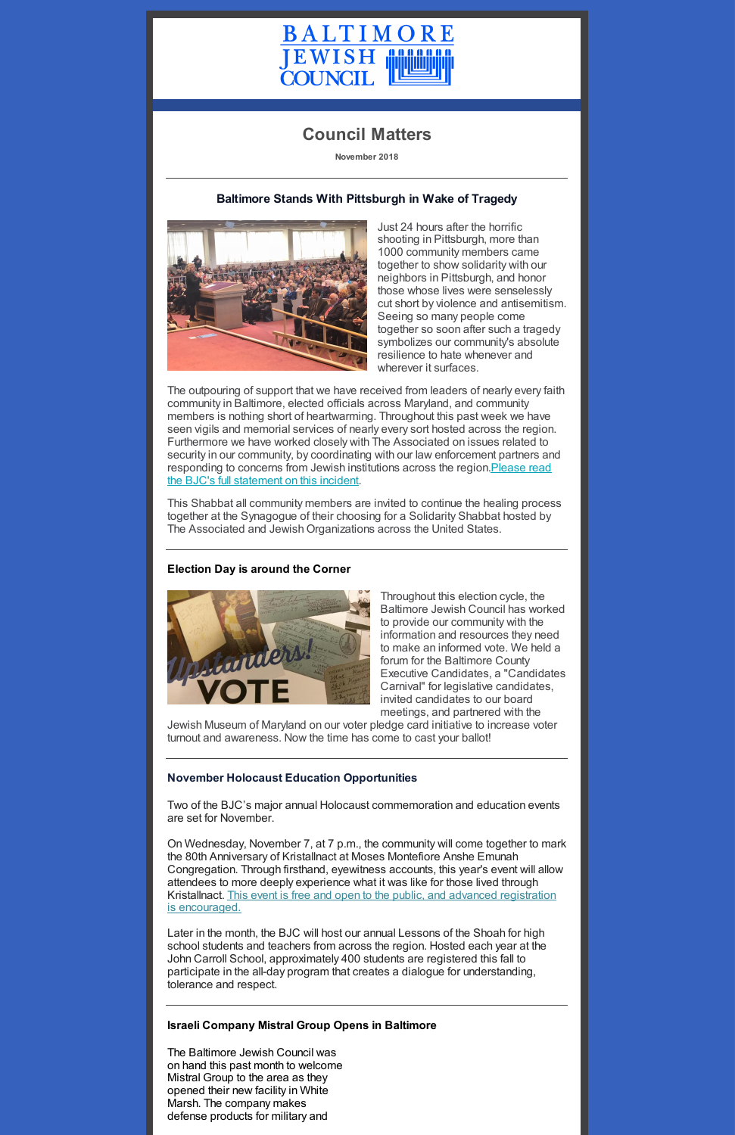

# **Council Matters**

**November 2018**

## **Baltimore Stands With Pittsburgh in Wake of Tragedy**



Just 24 hours after the horrific shooting in Pittsburgh, more than 1000 community members came together to show solidarity with our neighbors in Pittsburgh, and honor those whose lives were senselessly cut short by violence and antisemitism. Seeing so many people come together so soon after such a tragedy symbolizes our community's absolute resilience to hate whenever and wherever it surfaces.

The outpouring of support that we have received from leaders of nearly every faith community in Baltimore, elected officials across Maryland, and community members is nothing short of heartwarming. Throughout this past week we have seen vigils and memorial services of nearly every sort hosted across the region. Furthermore we have worked closely with The Associated on issues related to security in our community, by coordinating with our law enforcement partners and responding to concerns from Jewish institutions across the region. Please read the BJC's full statement on this incident.

This Shabbat all community members are invited to continue the healing process together at the Synagogue of their choosing for a Solidarity Shabbat hosted by The Associated and Jewish Organizations across the United States.

### **Election Day is around the Corner**



Throughout this election cycle, the Baltimore Jewish Council has worked to provide our community with the information and resources they need to make an informed vote. We held a forum for the Baltimore County Executive Candidates, a "Candidates Carnival" for legislative candidates, invited candidates to our board meetings, and partnered with the

Jewish Museum of Maryland on our voter pledge card initiative to increase voter turnout and awareness. Now the time has come to cast your ballot!

### **November Holocaust Education Opportunities**

Two of the BJC's major annual Holocaust commemoration and education events are set for November.

On Wednesday, November 7, at 7 p.m., the community will come together to mark the 80th Anniversary of Kristallnact at Moses Montefiore Anshe Emunah Congregation. Through firsthand, eyewitness accounts, this year's event will allow attendees to more deeply experience what it was like for those lived through Kristallnact. This event is free and open to the public, and advanced registration is [encouraged.](https://www.baltjc.org/calendar/kristallnacht-the-80th-anniversary-of-the-november-9-1938-pogrom)

Later in the month, the BJC will host our annual Lessons of the Shoah for high school students and teachers from across the region. Hosted each year at the John Carroll School, approximately 400 students are registered this fall to participate in the all-day program that creates a dialogue for understanding, tolerance and respect.

#### **Israeli Company Mistral Group Opens in Baltimore**

The Baltimore Jewish Council was on hand this past month to welcome Mistral Group to the area as they opened their new facility in White Marsh. The company makes defense products for military and